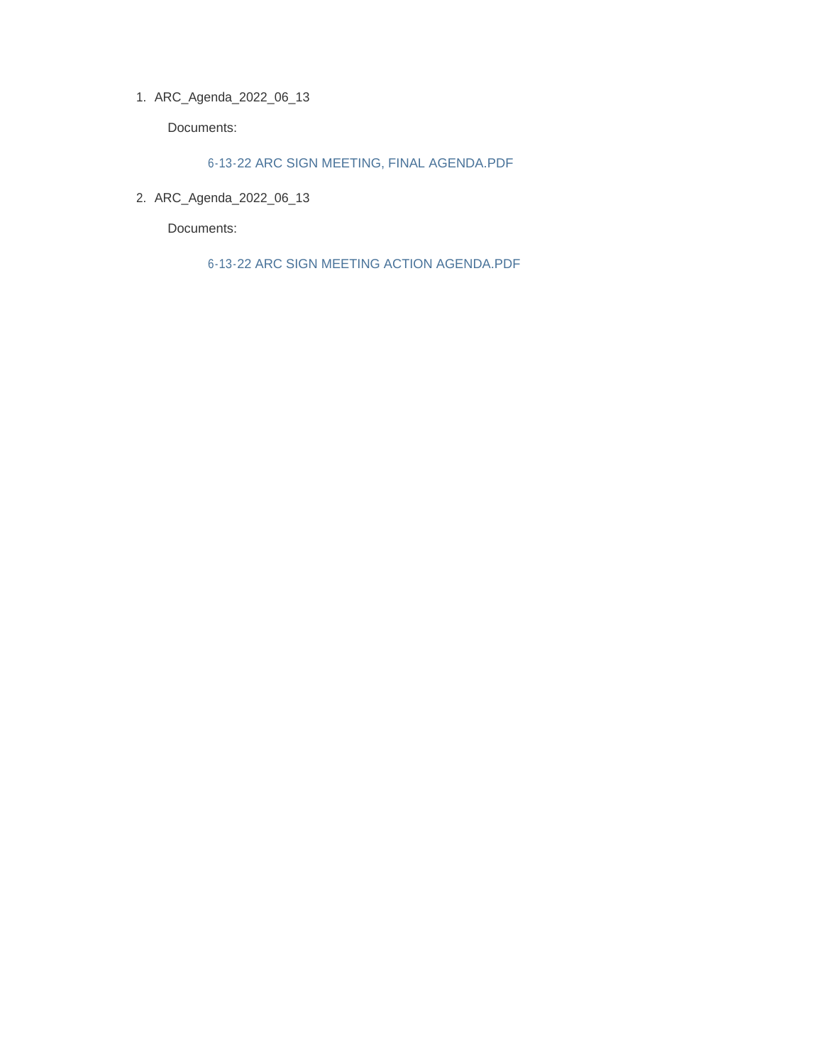ARC\_Agenda\_2022\_06\_13 1.

Documents:

6-13-22 ARC SIGN MEETING, FINAL AGENDA.PDF

ARC\_Agenda\_2022\_06\_13 2.

Documents:

6-13-22 ARC SIGN MEETING ACTION AGENDA.PDF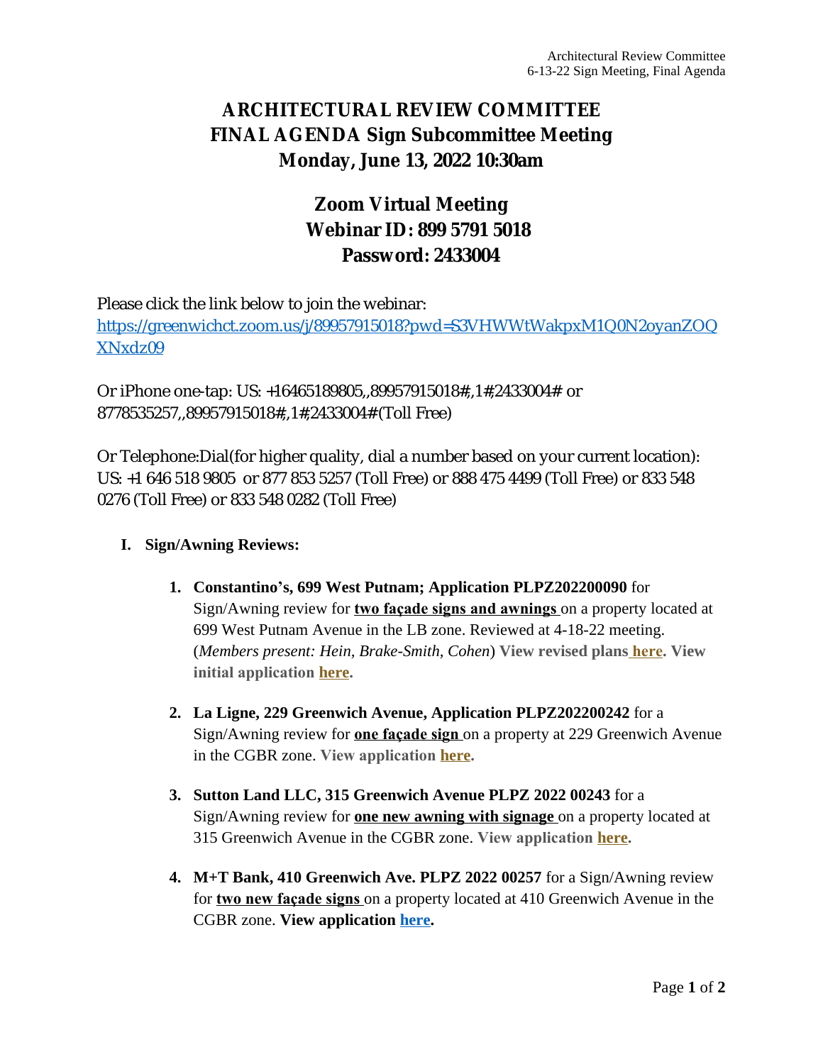# **ARCHITECTURAL REVIEW COMMITTEE FINAL AGENDA Sign Subcommittee Meeting Monday, June 13, 2022 10:30am**

# **Zoom Virtual Meeting Webinar ID: 899 5791 5018 Password: 2433004**

Please click the link below to join the webinar: [https://greenwichct.zoom.us/j/89957915018?pwd=S3VHWWtWakpxM1Q0N2oyanZOQ](https://greenwichct.zoom.us/j/89957915018?pwd=S3VHWWtWakpxM1Q0N2oyanZOQXNxdz09) XNxdz09

Or iPhone one-tap: US: +16465189805,,89957915018#,,1#,2433004# or 8778535257,,89957915018#,,1#,2433004# (Toll Free)

Or Telephone:Dial(for higher quality, dial a number based on your current location): US: +1 646 518 9805 or 877 853 5257 (Toll Free) or 888 475 4499 (Toll Free) or 833 548 0276 (Toll Free) or 833 548 0282 (Toll Free)

### **I. Sign/Awning Reviews:**

- **1. Constantino's, 699 West Putnam; Application PLPZ202200090** for Sign/Awning review for **two façade signs and awnings** on a property located at 699 West Putnam Avenue in the LB zone. Reviewed at 4-18-22 meeting. (*Members present: Hein, Brake-Smith, Cohen*) **View revised plans [here](https://www.greenwichct.gov/DocumentCenter/View/31281/699-WPA---PLPZ-202200090-revised-). View initial application [here.](https://www.greenwichct.gov/DocumentCenter/View/30547/ARC-SA-699-WEST-PUTNAM-AVENUE-GREENWICH-CT-PLPZ202200090)**
- **2. La Ligne, 229 Greenwich Avenue, Application PLPZ202200242** for a Sign/Awning review for **one façade sign** on a property at 229 Greenwich Avenue in the CGBR zone. **View application [here](https://www.greenwichct.gov/DocumentCenter/View/31283/229-Greenwich-Avenue---PLPZ-202200242).**
- **3. Sutton Land LLC, 315 Greenwich Avenue PLPZ 2022 00243** for a Sign/Awning review for **one new awning with signage** on a property located at 315 Greenwich Avenue in the CGBR zone. **View application [here](https://www.greenwichct.gov/DocumentCenter/View/31284/315-Greenwich-Avenue---PLPZ202200243).**
- **4. M+T Bank, 410 Greenwich Ave. PLPZ 2022 00257** for a Sign/Awning review for **two new façade signs** on a property located at 410 Greenwich Avenue in the CGBR zone. **View application [here](https://www.greenwichct.gov/DocumentCenter/View/31462/410-Gwich-M_T-Bank-PLPZ202200257).**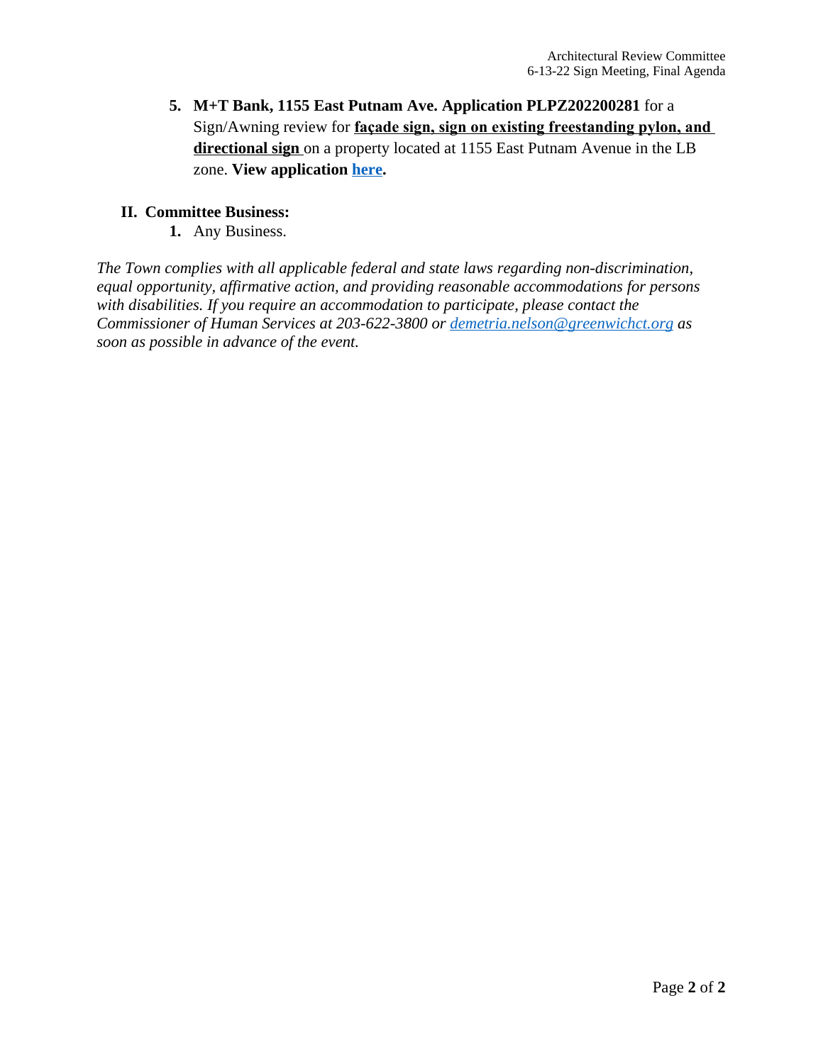**5. M+T Bank, 1155 East Putnam Ave. Application PLPZ202200281** for a Sign/Awning review for **façade sign, sign on existing freestanding pylon, and directional sign** on a property located at 1155 East Putnam Avenue in the LB zone. **View application [here.](https://www.greenwichct.gov/DocumentCenter/View/31463/1155-EPA-M-T-Bank-PLPZ202200281)**

### **II. Committee Business:**

**1.** Any Business.

*The Town complies with all applicable federal and state laws regarding non-discrimination, equal opportunity, affirmative action, and providing reasonable accommodations for persons with disabilities. If you require an accommodation to participate, please contact the Commissioner of Human Services at 203-622-3800 or [demetria.nelson@greenwichct.org](mailto:demetria.nelson@greenwichct.org) as soon as possible in advance of the event.*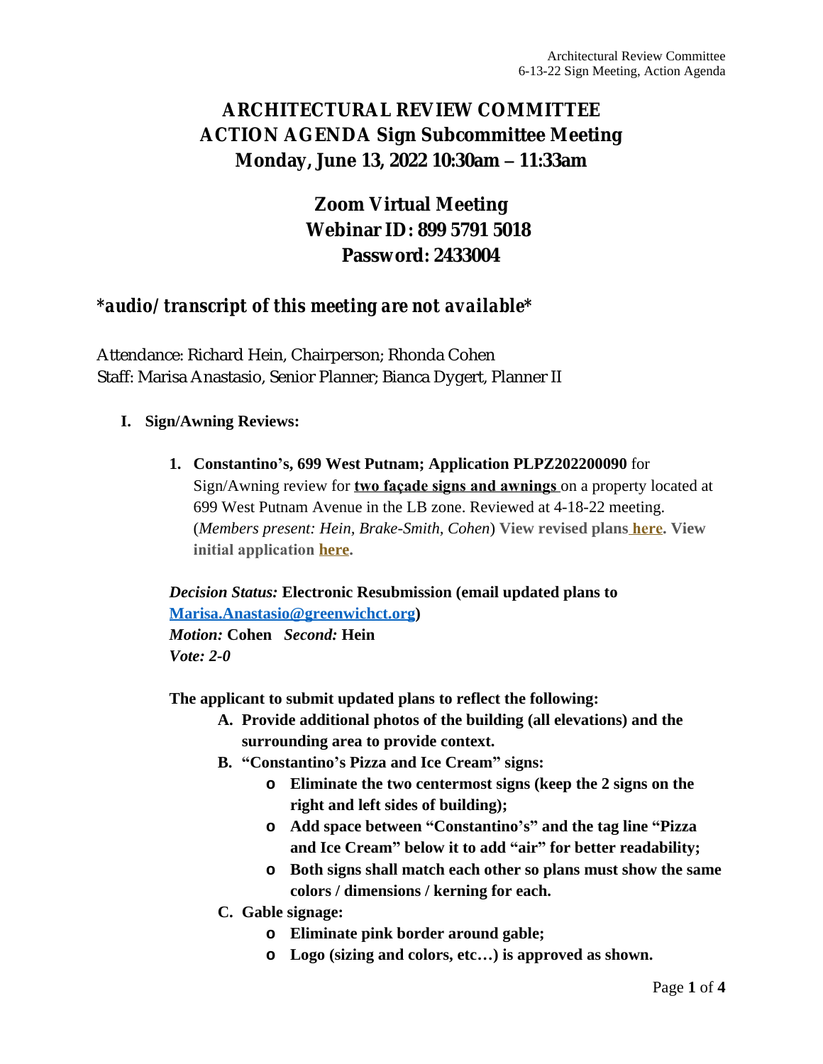### **ARCHITECTURAL REVIEW COMMITTEE ACTION AGENDA Sign Subcommittee Meeting Monday, June 13, 2022 10:30am – 11:33am**

# **Zoom Virtual Meeting Webinar ID: 899 5791 5018 Password: 2433004**

### *\*audio/ transcript of this meeting are not available\**

Attendance: Richard Hein, Chairperson; Rhonda Cohen Staff: Marisa Anastasio, Senior Planner; Bianca Dygert, Planner II

#### **I. Sign/Awning Reviews:**

**1. Constantino's, 699 West Putnam; Application PLPZ202200090** for Sign/Awning review for **two façade signs and awnings** on a property located at 699 West Putnam Avenue in the LB zone. Reviewed at 4-18-22 meeting. (*Members present: Hein, Brake-Smith, Cohen*) **View revised plans [here](https://www.greenwichct.gov/DocumentCenter/View/31281/699-WPA---PLPZ-202200090-revised-). View initial application [here.](https://www.greenwichct.gov/DocumentCenter/View/30547/ARC-SA-699-WEST-PUTNAM-AVENUE-GREENWICH-CT-PLPZ202200090)**

*Decision Status:* **Electronic Resubmission (email updated plans to [Marisa.Anastasio@greenwichct.org\)](mailto:manastasio@greenwichct.org)** *[Motion:](mailto:manastasio@greenwichct.org)* **[Cohen](mailto:manastasio@greenwichct.org)** *[Second:](mailto:manastasio@greenwichct.org)* **[Hein](mailto:manastasio@greenwichct.org)** *[Vote: 2-0](mailto:manastasio@greenwichct.org)*

**[The applicant to submit updated plans to reflect the following:](mailto:manastasio@greenwichct.org)**

- **A. [Provide additional photos of the building \(all elevations\) and the](mailto:manastasio@greenwichct.org)  [surrounding area to provide context.](mailto:manastasio@greenwichct.org)**
- **B. "[Constantino](mailto:manastasio@greenwichct.org)'s Pizza [and Ice Cream](mailto:manastasio@greenwichct.org)" signs:**
	- **o [Eliminate the two centermost signs \(keep the 2 signs on the](mailto:manastasio@greenwichct.org)  [right and left sides of building\);](mailto:manastasio@greenwichct.org)**
	- **o [Add space between](mailto:manastasio@greenwichct.org) "[Constantino](mailto:manastasio@greenwichct.org)'s" [and the tag line](mailto:manastasio@greenwichct.org) "[Pizza](mailto:manastasio@greenwichct.org)  [and Ice Cream](mailto:manastasio@greenwichct.org)" [below it to add](mailto:manastasio@greenwichct.org) "air" [for better readability;](mailto:manastasio@greenwichct.org)**
	- **o [Both signs shall match each other so plans must show the same](mailto:manastasio@greenwichct.org) [colors / dimensions / kerning for each.](mailto:manastasio@greenwichct.org)**
- **C. [Gable signage:](mailto:manastasio@greenwichct.org)**
	- **o [Eliminate pink border around gable;](mailto:manastasio@greenwichct.org)**
	- **o [Logo \(sizing and colors, etc](mailto:manastasio@greenwichct.org)[…](mailto:manastasio@greenwichct.org)) [is approved as shown.](mailto:manastasio@greenwichct.org)**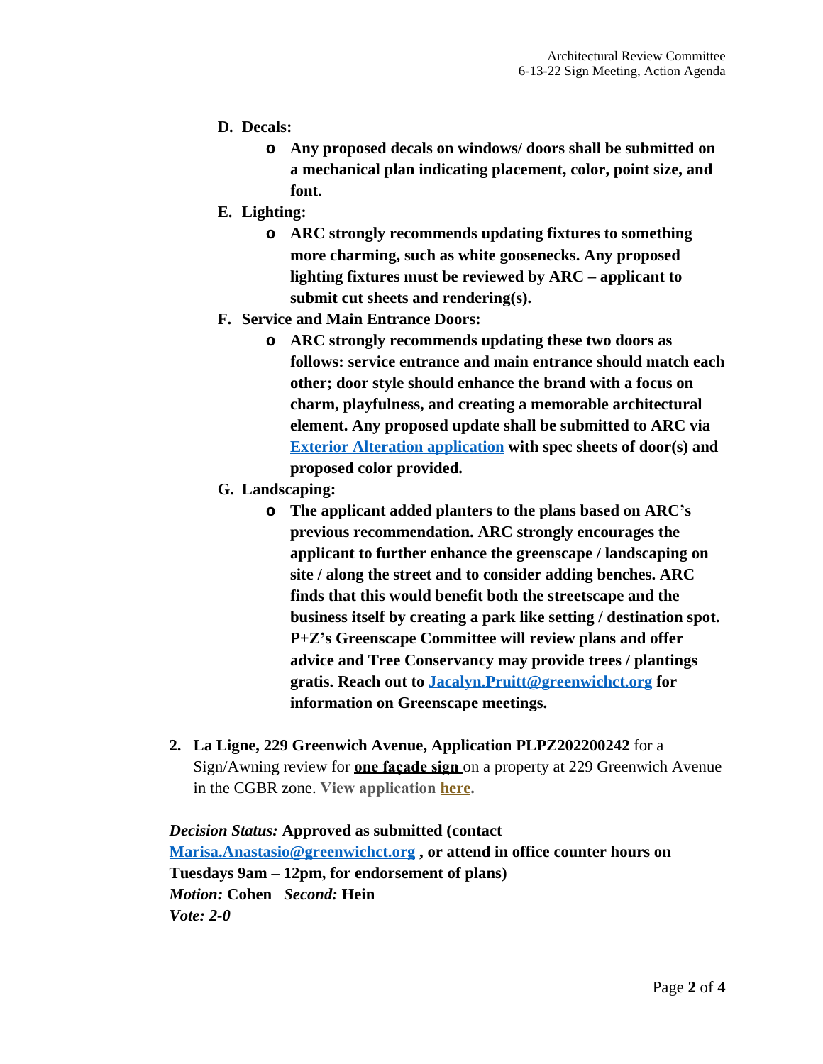- **D. Decals:**
	- **o Any proposed decals on windows/ doors shall be submitted on a mechanical plan indicating placement, color, point size, and font.**
- **E. Lighting:**
	- **o ARC strongly recommends updating fixtures to something more charming, such as white goosenecks. Any proposed lighting fixtures must be reviewed by ARC – applicant to submit cut sheets and rendering(s).**
- **F. Service and Main Entrance Doors:**
	- **o ARC strongly recommends updating these two doors as follows: service entrance and main entrance should match each other; door style should enhance the brand with a focus on charm, playfulness, and creating a memorable architectural element. Any proposed update shall be submitted to ARC via [Exterior Alteration application](https://www.greenwichct.gov/DocumentCenter/View/29504/ARC-Exterior-Alteration-2022) with spec sheets of door(s) and proposed color provided.**
- **G. Landscaping:**
	- **o The applicant added planters to the plans based on ARC's previous recommendation. ARC strongly encourages the applicant to further enhance the greenscape / landscaping on site / along the street and to consider adding benches. ARC finds that this would benefit both the streetscape and the business itself by creating a park like setting / destination spot. P+Z's Greenscape Committee will review plans and offer advice and Tree Conservancy may provide trees / plantings gratis. Reach out to [Jacalyn.Pruitt@greenwichct.org](mailto:Jacalyn.Pruitt@greenwichct.org) for information on Greenscape meetings.**
- **2. La Ligne, 229 Greenwich Avenue, Application PLPZ202200242** for a Sign/Awning review for **one façade sign** on a property at 229 Greenwich Avenue in the CGBR zone. **View application [here](https://www.greenwichct.gov/DocumentCenter/View/31283/229-Greenwich-Avenue---PLPZ-202200242).**

*Decision Status:* **Approved as submitted (contact [Marisa.Anastasio@greenwichct.org](mailto:Marisa.Anastasio@greenwichct.org) , or attend in office counter hours on Tuesdays 9am – 12pm, for endorsement of plans)** *Motion:* **Cohen** *Second:* **Hein** *Vote: 2-0*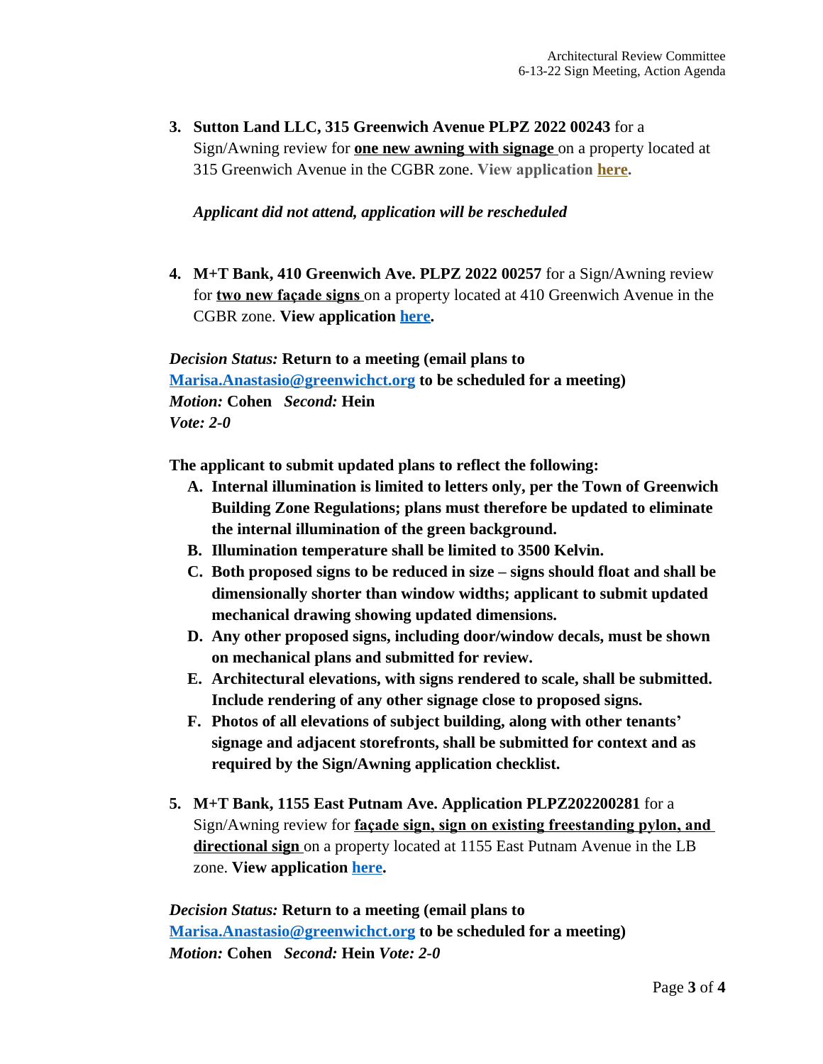**3. Sutton Land LLC, 315 Greenwich Avenue PLPZ 2022 00243** for a Sign/Awning review for **one new awning with signage** on a property located at 315 Greenwich Avenue in the CGBR zone. **View application [here](https://www.greenwichct.gov/DocumentCenter/View/31284/315-Greenwich-Avenue---PLPZ202200243).**

#### *Applicant did not attend, application will be rescheduled*

**4. M+T Bank, 410 Greenwich Ave. PLPZ 2022 00257** for a Sign/Awning review for **two new façade signs** on a property located at 410 Greenwich Avenue in the CGBR zone. **View application [here](https://www.greenwichct.gov/DocumentCenter/View/31462/410-Gwich-M_T-Bank-PLPZ202200257).**

*Decision Status:* **Return to a meeting (email plans to [Marisa.Anastasio@greenwichct.org](mailto:manastasio@greenwichct.org) to be scheduled for a meeting)** *Motion:* **Cohen** *Second:* **Hein** *Vote: 2-0*

**The applicant to submit updated plans to reflect the following:**

- **A. Internal illumination is limited to letters only, per the Town of Greenwich Building Zone Regulations; plans must therefore be updated to eliminate the internal illumination of the green background.**
- **B. Illumination temperature shall be limited to 3500 Kelvin.**
- **C. Both proposed signs to be reduced in size – signs should float and shall be dimensionally shorter than window widths; applicant to submit updated mechanical drawing showing updated dimensions.**
- **D. Any other proposed signs, including door/window decals, must be shown on mechanical plans and submitted for review.**
- **E. Architectural elevations, with signs rendered to scale, shall be submitted. Include rendering of any other signage close to proposed signs.**
- **F. Photos of all elevations of subject building, along with other tenants' signage and adjacent storefronts, shall be submitted for context and as required by the Sign/Awning application checklist.**
- **5. M+T Bank, 1155 East Putnam Ave. Application PLPZ202200281** for a Sign/Awning review for **façade sign, sign on existing freestanding pylon, and directional sign** on a property located at 1155 East Putnam Avenue in the LB zone. **View application [here.](https://www.greenwichct.gov/DocumentCenter/View/31463/1155-EPA-M-T-Bank-PLPZ202200281)**

*Decision Status:* **Return to a meeting (email plans to [Marisa.Anastasio@greenwichct.org](mailto:manastasio@greenwichct.org) to be scheduled for a meeting)** *Motion:* **Cohen** *Second:* **Hein** *Vote: 2-0*